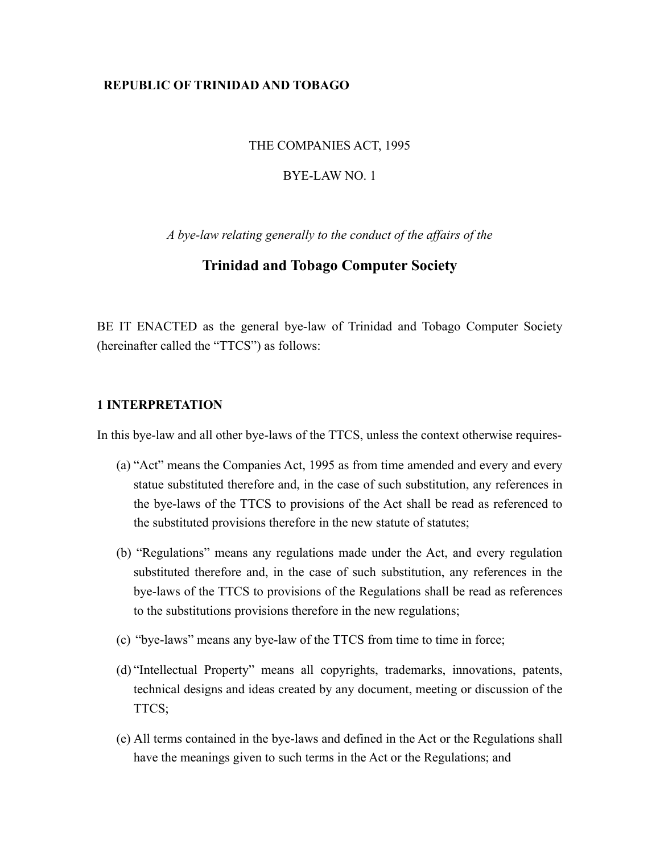## **REPUBLIC OF TRINIDAD AND TOBAGO**

#### THE COMPANIES ACT, 1995

#### BYE-LAW NO. 1

*A bye-law relating generally to the conduct of the affairs of the*

## **Trinidad and Tobago Computer Society**

BE IT ENACTED as the general bye-law of Trinidad and Tobago Computer Society (hereinafter called the "TTCS") as follows:

## **1 INTERPRETATION**

In this bye-law and all other bye-laws of the TTCS, unless the context otherwise requires-

- (a) "Act" means the Companies Act, 1995 as from time amended and every and every statue substituted therefore and, in the case of such substitution, any references in the bye-laws of the TTCS to provisions of the Act shall be read as referenced to the substituted provisions therefore in the new statute of statutes;
- (b) "Regulations" means any regulations made under the Act, and every regulation substituted therefore and, in the case of such substitution, any references in the bye-laws of the TTCS to provisions of the Regulations shall be read as references to the substitutions provisions therefore in the new regulations;
- (c) "bye-laws" means any bye-law of the TTCS from time to time in force;
- (d) "Intellectual Property" means all copyrights, trademarks, innovations, patents, technical designs and ideas created by any document, meeting or discussion of the TTCS;
- (e) All terms contained in the bye-laws and defined in the Act or the Regulations shall have the meanings given to such terms in the Act or the Regulations; and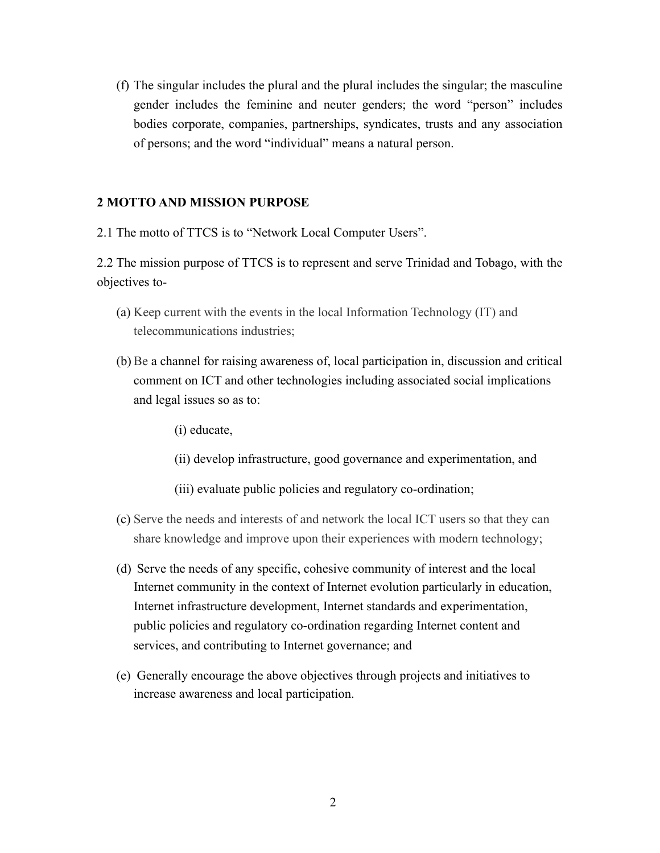(f) The singular includes the plural and the plural includes the singular; the masculine gender includes the feminine and neuter genders; the word "person" includes bodies corporate, companies, partnerships, syndicates, trusts and any association of persons; and the word "individual" means a natural person.

#### **2 MOTTO AND MISSION PURPOSE**

2.1 The motto of TTCS is to "Network Local Computer Users".

2.2 The mission purpose of TTCS is to represent and serve Trinidad and Tobago, with the objectives to-

- (a) Keep current with the events in the local Information Technology (IT) and telecommunications industries;
- (b) Be a channel for raising awareness of, local participation in, discussion and critical comment on ICT and other technologies including associated social implications and legal issues so as to:
	- (i) educate,
	- (ii) develop infrastructure, good governance and experimentation, and
	- (iii) evaluate public policies and regulatory co-ordination;
- (c) Serve the needs and interests of and network the local ICT users so that they can share knowledge and improve upon their experiences with modern technology;
- (d) Serve the needs of any specific, cohesive community of interest and the local Internet community in the context of Internet evolution particularly in education, Internet infrastructure development, Internet standards and experimentation, public policies and regulatory co-ordination regarding Internet content and services, and contributing to Internet governance; and
- (e) Generally encourage the above objectives through projects and initiatives to increase awareness and local participation.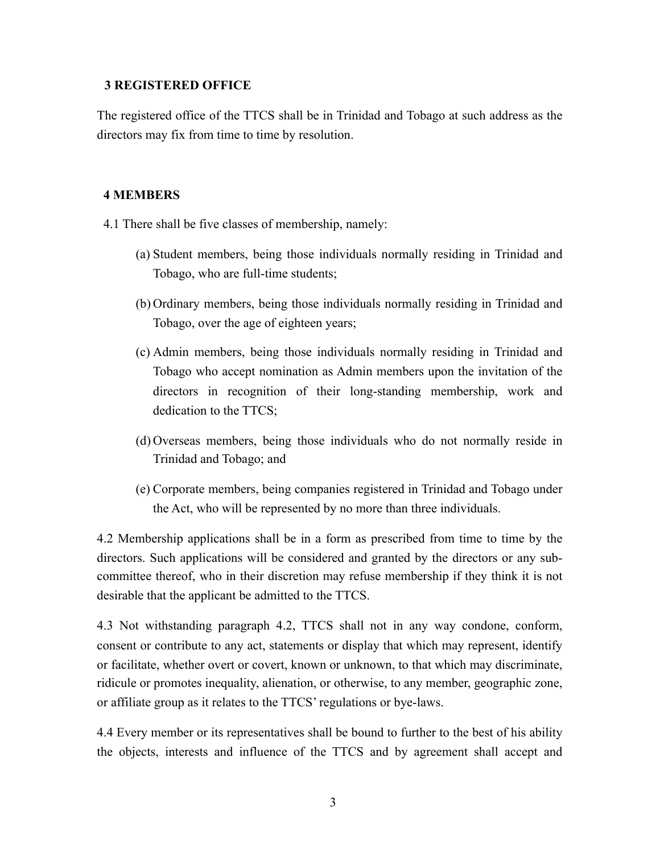## **3 REGISTERED OFFICE**

The registered office of the TTCS shall be in Trinidad and Tobago at such address as the directors may fix from time to time by resolution.

# **4 MEMBERS**

- 4.1 There shall be five classes of membership, namely:
	- (a) Student members, being those individuals normally residing in Trinidad and Tobago, who are full-time students;
	- (b) Ordinary members, being those individuals normally residing in Trinidad and Tobago, over the age of eighteen years;
	- (c) Admin members, being those individuals normally residing in Trinidad and Tobago who accept nomination as Admin members upon the invitation of the directors in recognition of their long-standing membership, work and dedication to the TTCS;
	- (d) Overseas members, being those individuals who do not normally reside in Trinidad and Tobago; and
	- (e) Corporate members, being companies registered in Trinidad and Tobago under the Act, who will be represented by no more than three individuals.

4.2 Membership applications shall be in a form as prescribed from time to time by the directors. Such applications will be considered and granted by the directors or any subcommittee thereof, who in their discretion may refuse membership if they think it is not desirable that the applicant be admitted to the TTCS.

4.3 Not withstanding paragraph 4.2, TTCS shall not in any way condone, conform, consent or contribute to any act, statements or display that which may represent, identify or facilitate, whether overt or covert, known or unknown, to that which may discriminate, ridicule or promotes inequality, alienation, or otherwise, to any member, geographic zone, or affiliate group as it relates to the TTCS' regulations or bye-laws.

4.4 Every member or its representatives shall be bound to further to the best of his ability the objects, interests and influence of the TTCS and by agreement shall accept and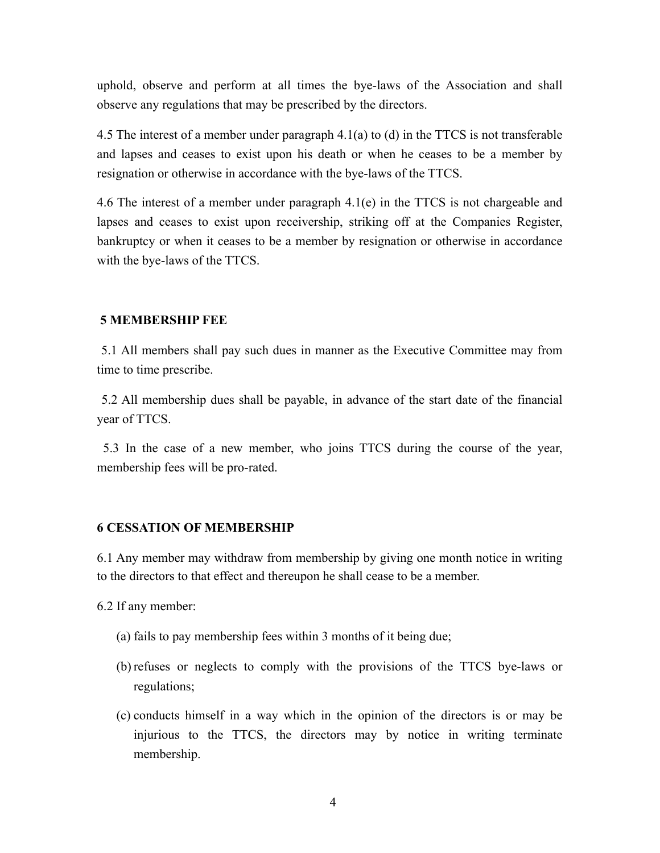uphold, observe and perform at all times the bye-laws of the Association and shall observe any regulations that may be prescribed by the directors.

4.5 The interest of a member under paragraph 4.1(a) to (d) in the TTCS is not transferable and lapses and ceases to exist upon his death or when he ceases to be a member by resignation or otherwise in accordance with the bye-laws of the TTCS.

4.6 The interest of a member under paragraph 4.1(e) in the TTCS is not chargeable and lapses and ceases to exist upon receivership, striking off at the Companies Register, bankruptcy or when it ceases to be a member by resignation or otherwise in accordance with the bye-laws of the TTCS.

## **5 MEMBERSHIP FEE**

5.1 All members shall pay such dues in manner as the Executive Committee may from time to time prescribe.

5.2 All membership dues shall be payable, in advance of the start date of the financial year of TTCS.

5.3 In the case of a new member, who joins TTCS during the course of the year, membership fees will be pro-rated.

## **6 CESSATION OF MEMBERSHIP**

6.1 Any member may withdraw from membership by giving one month notice in writing to the directors to that effect and thereupon he shall cease to be a member.

6.2 If any member:

- (a) fails to pay membership fees within 3 months of it being due;
- (b) refuses or neglects to comply with the provisions of the TTCS bye-laws or regulations;
- (c) conducts himself in a way which in the opinion of the directors is or may be injurious to the TTCS, the directors may by notice in writing terminate membership.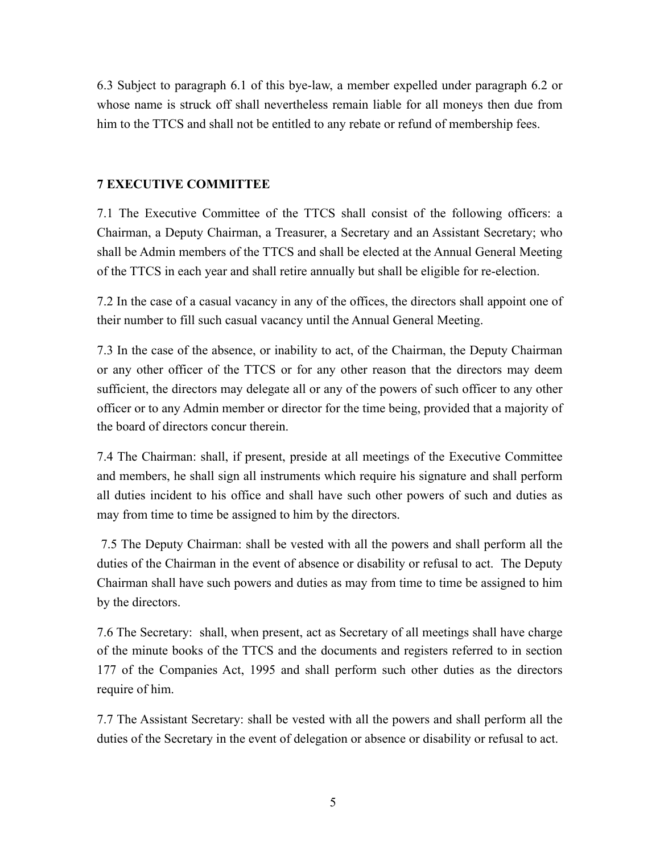6.3 Subject to paragraph 6.1 of this bye-law, a member expelled under paragraph 6.2 or whose name is struck off shall nevertheless remain liable for all moneys then due from him to the TTCS and shall not be entitled to any rebate or refund of membership fees.

# **7 EXECUTIVE COMMITTEE**

7.1 The Executive Committee of the TTCS shall consist of the following officers: a Chairman, a Deputy Chairman, a Treasurer, a Secretary and an Assistant Secretary; who shall be Admin members of the TTCS and shall be elected at the Annual General Meeting of the TTCS in each year and shall retire annually but shall be eligible for re-election.

7.2 In the case of a casual vacancy in any of the offices, the directors shall appoint one of their number to fill such casual vacancy until the Annual General Meeting.

7.3 In the case of the absence, or inability to act, of the Chairman, the Deputy Chairman or any other officer of the TTCS or for any other reason that the directors may deem sufficient, the directors may delegate all or any of the powers of such officer to any other officer or to any Admin member or director for the time being, provided that a majority of the board of directors concur therein.

7.4 The Chairman: shall, if present, preside at all meetings of the Executive Committee and members, he shall sign all instruments which require his signature and shall perform all duties incident to his office and shall have such other powers of such and duties as may from time to time be assigned to him by the directors.

 7.5 The Deputy Chairman: shall be vested with all the powers and shall perform all the duties of the Chairman in the event of absence or disability or refusal to act. The Deputy Chairman shall have such powers and duties as may from time to time be assigned to him by the directors.

7.6 The Secretary: shall, when present, act as Secretary of all meetings shall have charge of the minute books of the TTCS and the documents and registers referred to in section 177 of the Companies Act, 1995 and shall perform such other duties as the directors require of him.

7.7 The Assistant Secretary: shall be vested with all the powers and shall perform all the duties of the Secretary in the event of delegation or absence or disability or refusal to act.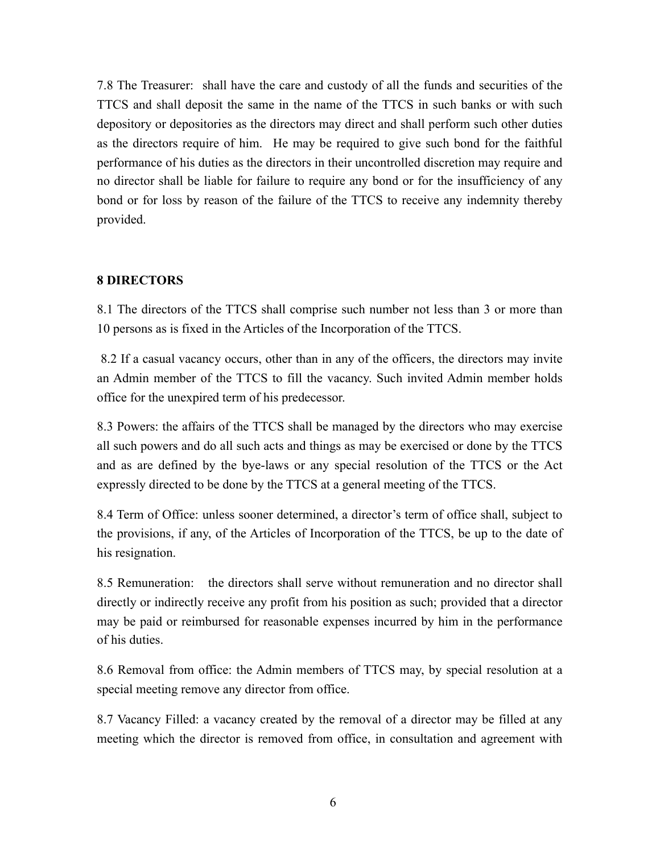7.8 The Treasurer: shall have the care and custody of all the funds and securities of the TTCS and shall deposit the same in the name of the TTCS in such banks or with such depository or depositories as the directors may direct and shall perform such other duties as the directors require of him. He may be required to give such bond for the faithful performance of his duties as the directors in their uncontrolled discretion may require and no director shall be liable for failure to require any bond or for the insufficiency of any bond or for loss by reason of the failure of the TTCS to receive any indemnity thereby provided.

## **8 DIRECTORS**

8.1 The directors of the TTCS shall comprise such number not less than 3 or more than 10 persons as is fixed in the Articles of the Incorporation of the TTCS.

 8.2 If a casual vacancy occurs, other than in any of the officers, the directors may invite an Admin member of the TTCS to fill the vacancy. Such invited Admin member holds office for the unexpired term of his predecessor.

8.3 Powers: the affairs of the TTCS shall be managed by the directors who may exercise all such powers and do all such acts and things as may be exercised or done by the TTCS and as are defined by the bye-laws or any special resolution of the TTCS or the Act expressly directed to be done by the TTCS at a general meeting of the TTCS.

8.4 Term of Office: unless sooner determined, a director's term of office shall, subject to the provisions, if any, of the Articles of Incorporation of the TTCS, be up to the date of his resignation.

8.5 Remuneration: the directors shall serve without remuneration and no director shall directly or indirectly receive any profit from his position as such; provided that a director may be paid or reimbursed for reasonable expenses incurred by him in the performance of his duties.

8.6 Removal from office: the Admin members of TTCS may, by special resolution at a special meeting remove any director from office.

8.7 Vacancy Filled: a vacancy created by the removal of a director may be filled at any meeting which the director is removed from office, in consultation and agreement with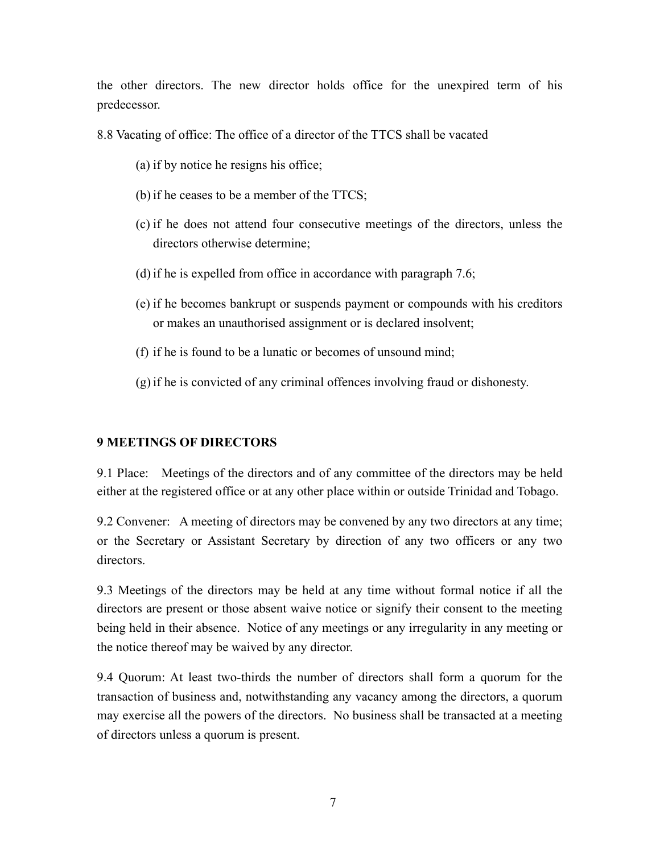the other directors. The new director holds office for the unexpired term of his predecessor.

8.8 Vacating of office: The office of a director of the TTCS shall be vacated

- (a) if by notice he resigns his office;
- (b) if he ceases to be a member of the TTCS;
- (c) if he does not attend four consecutive meetings of the directors, unless the directors otherwise determine;
- (d) if he is expelled from office in accordance with paragraph 7.6;
- (e) if he becomes bankrupt or suspends payment or compounds with his creditors or makes an unauthorised assignment or is declared insolvent;
- (f) if he is found to be a lunatic or becomes of unsound mind;
- (g) if he is convicted of any criminal offences involving fraud or dishonesty.

# **9 MEETINGS OF DIRECTORS**

9.1 Place: Meetings of the directors and of any committee of the directors may be held either at the registered office or at any other place within or outside Trinidad and Tobago.

9.2 Convener: A meeting of directors may be convened by any two directors at any time; or the Secretary or Assistant Secretary by direction of any two officers or any two directors.

9.3 Meetings of the directors may be held at any time without formal notice if all the directors are present or those absent waive notice or signify their consent to the meeting being held in their absence. Notice of any meetings or any irregularity in any meeting or the notice thereof may be waived by any director.

9.4 Quorum: At least two-thirds the number of directors shall form a quorum for the transaction of business and, notwithstanding any vacancy among the directors, a quorum may exercise all the powers of the directors. No business shall be transacted at a meeting of directors unless a quorum is present.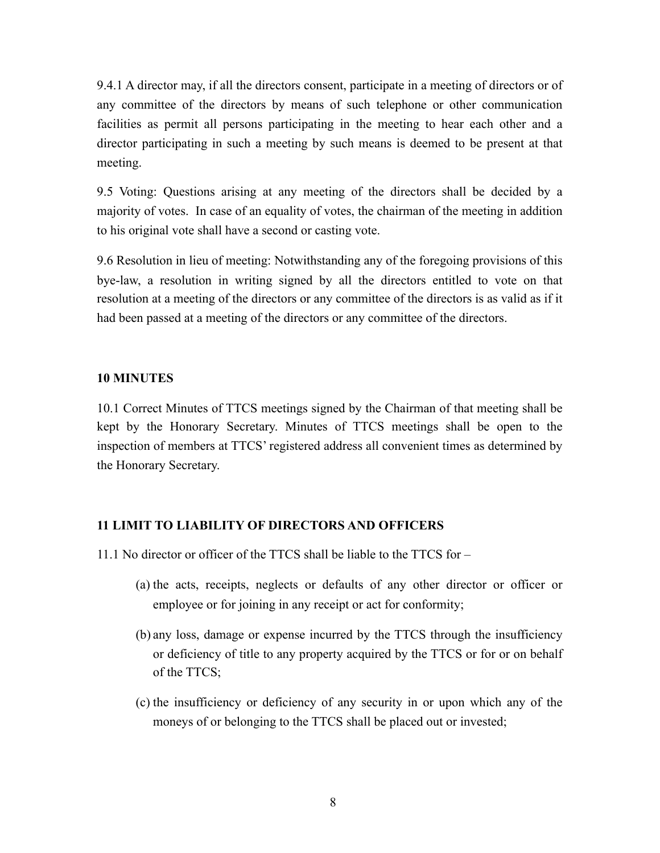9.4.1 A director may, if all the directors consent, participate in a meeting of directors or of any committee of the directors by means of such telephone or other communication facilities as permit all persons participating in the meeting to hear each other and a director participating in such a meeting by such means is deemed to be present at that meeting.

9.5 Voting: Questions arising at any meeting of the directors shall be decided by a majority of votes. In case of an equality of votes, the chairman of the meeting in addition to his original vote shall have a second or casting vote.

9.6 Resolution in lieu of meeting: Notwithstanding any of the foregoing provisions of this bye-law, a resolution in writing signed by all the directors entitled to vote on that resolution at a meeting of the directors or any committee of the directors is as valid as if it had been passed at a meeting of the directors or any committee of the directors.

## **10 MINUTES**

10.1 Correct Minutes of TTCS meetings signed by the Chairman of that meeting shall be kept by the Honorary Secretary. Minutes of TTCS meetings shall be open to the inspection of members at TTCS' registered address all convenient times as determined by the Honorary Secretary.

## **11 LIMIT TO LIABILITY OF DIRECTORS AND OFFICERS**

- 11.1 No director or officer of the TTCS shall be liable to the TTCS for
	- (a) the acts, receipts, neglects or defaults of any other director or officer or employee or for joining in any receipt or act for conformity;
	- (b) any loss, damage or expense incurred by the TTCS through the insufficiency or deficiency of title to any property acquired by the TTCS or for or on behalf of the TTCS;
	- (c) the insufficiency or deficiency of any security in or upon which any of the moneys of or belonging to the TTCS shall be placed out or invested;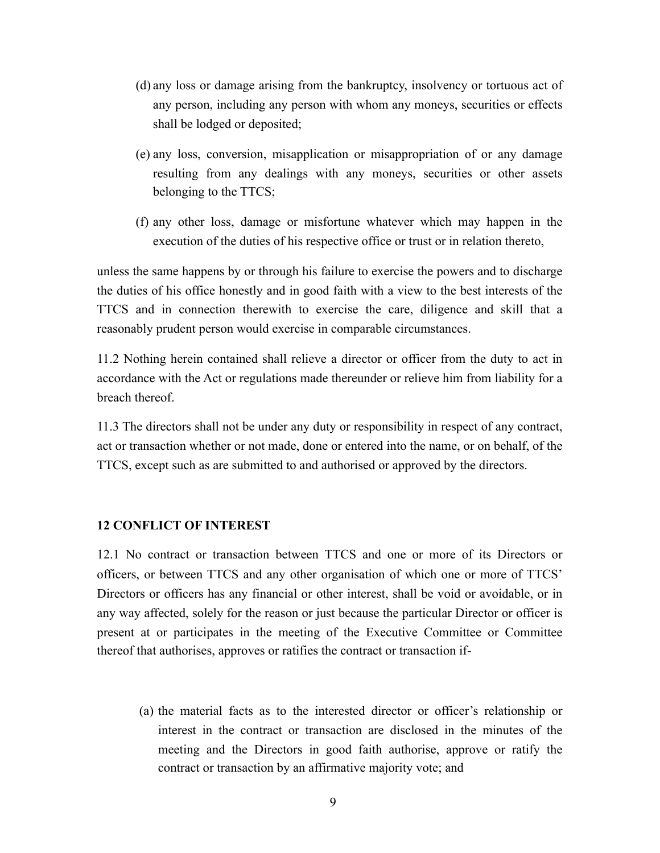- (d) any loss or damage arising from the bankruptcy, insolvency or tortuous act of any person, including any person with whom any moneys, securities or effects shall be lodged or deposited;
- (e) any loss, conversion, misapplication or misappropriation of or any damage resulting from any dealings with any moneys, securities or other assets belonging to the TTCS;
- (f) any other loss, damage or misfortune whatever which may happen in the execution of the duties of his respective office or trust or in relation thereto,

unless the same happens by or through his failure to exercise the powers and to discharge the duties of his office honestly and in good faith with a view to the best interests of the TTCS and in connection therewith to exercise the care, diligence and skill that a reasonably prudent person would exercise in comparable circumstances.

11.2 Nothing herein contained shall relieve a director or officer from the duty to act in accordance with the Act or regulations made thereunder or relieve him from liability for a breach thereof.

11.3 The directors shall not be under any duty or responsibility in respect of any contract, act or transaction whether or not made, done or entered into the name, or on behalf, of the TTCS, except such as are submitted to and authorised or approved by the directors.

#### **12 CONFLICT OF INTEREST**

12.1 No contract or transaction between TTCS and one or more of its Directors or officers, or between TTCS and any other organisation of which one or more of TTCS' Directors or officers has any financial or other interest, shall be void or avoidable, or in any way affected, solely for the reason or just because the particular Director or officer is present at or participates in the meeting of the Executive Committee or Committee thereof that authorises, approves or ratifies the contract or transaction if-

(a) the material facts as to the interested director or officer's relationship or interest in the contract or transaction are disclosed in the minutes of the meeting and the Directors in good faith authorise, approve or ratify the contract or transaction by an affirmative majority vote; and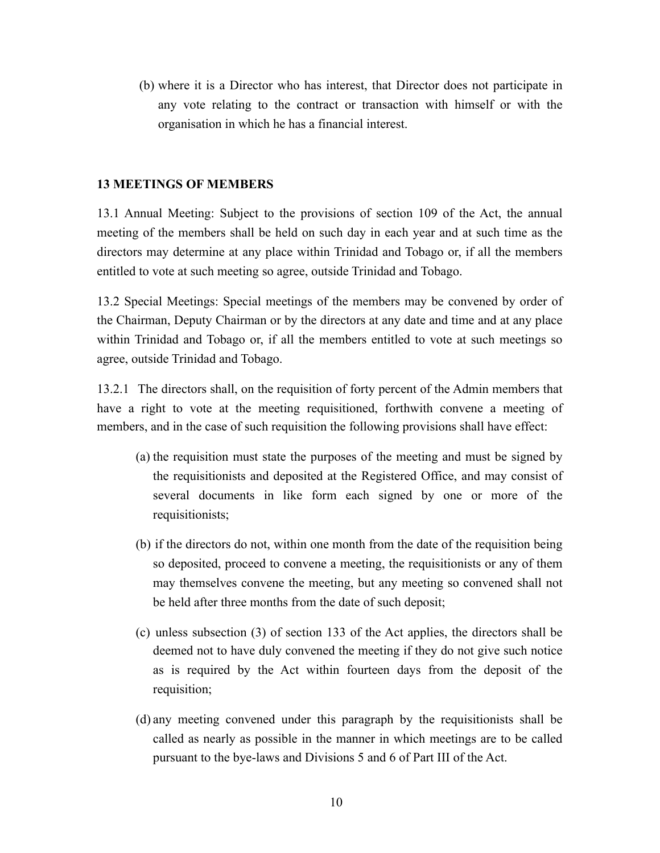(b) where it is a Director who has interest, that Director does not participate in any vote relating to the contract or transaction with himself or with the organisation in which he has a financial interest.

## **13 MEETINGS OF MEMBERS**

13.1 Annual Meeting: Subject to the provisions of section 109 of the Act, the annual meeting of the members shall be held on such day in each year and at such time as the directors may determine at any place within Trinidad and Tobago or, if all the members entitled to vote at such meeting so agree, outside Trinidad and Tobago.

13.2 Special Meetings: Special meetings of the members may be convened by order of the Chairman, Deputy Chairman or by the directors at any date and time and at any place within Trinidad and Tobago or, if all the members entitled to vote at such meetings so agree, outside Trinidad and Tobago.

13.2.1 The directors shall, on the requisition of forty percent of the Admin members that have a right to vote at the meeting requisitioned, forthwith convene a meeting of members, and in the case of such requisition the following provisions shall have effect:

- (a) the requisition must state the purposes of the meeting and must be signed by the requisitionists and deposited at the Registered Office, and may consist of several documents in like form each signed by one or more of the requisitionists;
- (b) if the directors do not, within one month from the date of the requisition being so deposited, proceed to convene a meeting, the requisitionists or any of them may themselves convene the meeting, but any meeting so convened shall not be held after three months from the date of such deposit;
- (c) unless subsection (3) of section 133 of the Act applies, the directors shall be deemed not to have duly convened the meeting if they do not give such notice as is required by the Act within fourteen days from the deposit of the requisition;
- (d) any meeting convened under this paragraph by the requisitionists shall be called as nearly as possible in the manner in which meetings are to be called pursuant to the bye-laws and Divisions 5 and 6 of Part III of the Act.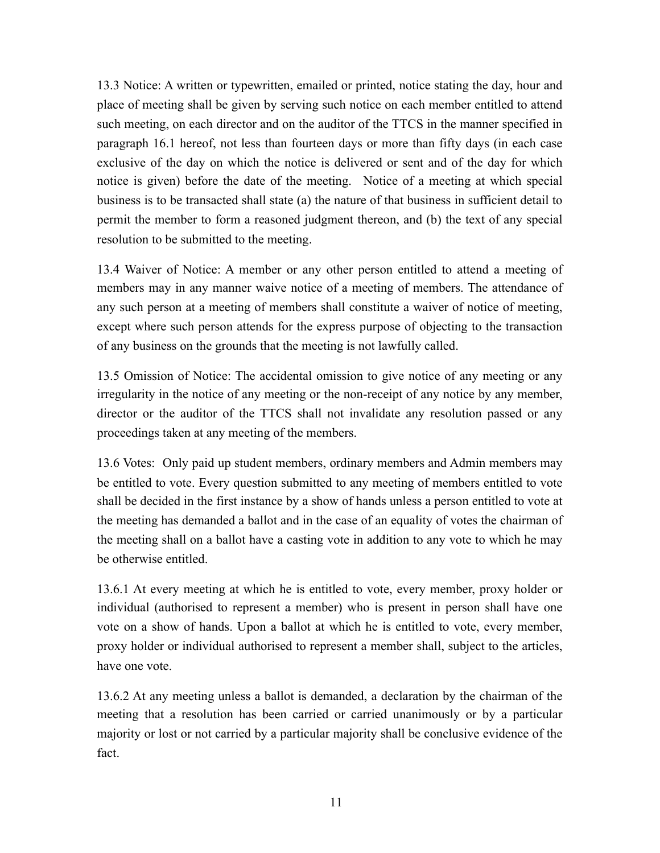13.3 Notice: A written or typewritten, emailed or printed, notice stating the day, hour and place of meeting shall be given by serving such notice on each member entitled to attend such meeting, on each director and on the auditor of the TTCS in the manner specified in paragraph 16.1 hereof, not less than fourteen days or more than fifty days (in each case exclusive of the day on which the notice is delivered or sent and of the day for which notice is given) before the date of the meeting. Notice of a meeting at which special business is to be transacted shall state (a) the nature of that business in sufficient detail to permit the member to form a reasoned judgment thereon, and (b) the text of any special resolution to be submitted to the meeting.

13.4 Waiver of Notice: A member or any other person entitled to attend a meeting of members may in any manner waive notice of a meeting of members. The attendance of any such person at a meeting of members shall constitute a waiver of notice of meeting, except where such person attends for the express purpose of objecting to the transaction of any business on the grounds that the meeting is not lawfully called.

13.5 Omission of Notice: The accidental omission to give notice of any meeting or any irregularity in the notice of any meeting or the non-receipt of any notice by any member, director or the auditor of the TTCS shall not invalidate any resolution passed or any proceedings taken at any meeting of the members.

13.6 Votes: Only paid up student members, ordinary members and Admin members may be entitled to vote. Every question submitted to any meeting of members entitled to vote shall be decided in the first instance by a show of hands unless a person entitled to vote at the meeting has demanded a ballot and in the case of an equality of votes the chairman of the meeting shall on a ballot have a casting vote in addition to any vote to which he may be otherwise entitled.

13.6.1 At every meeting at which he is entitled to vote, every member, proxy holder or individual (authorised to represent a member) who is present in person shall have one vote on a show of hands. Upon a ballot at which he is entitled to vote, every member, proxy holder or individual authorised to represent a member shall, subject to the articles, have one vote.

13.6.2 At any meeting unless a ballot is demanded, a declaration by the chairman of the meeting that a resolution has been carried or carried unanimously or by a particular majority or lost or not carried by a particular majority shall be conclusive evidence of the fact.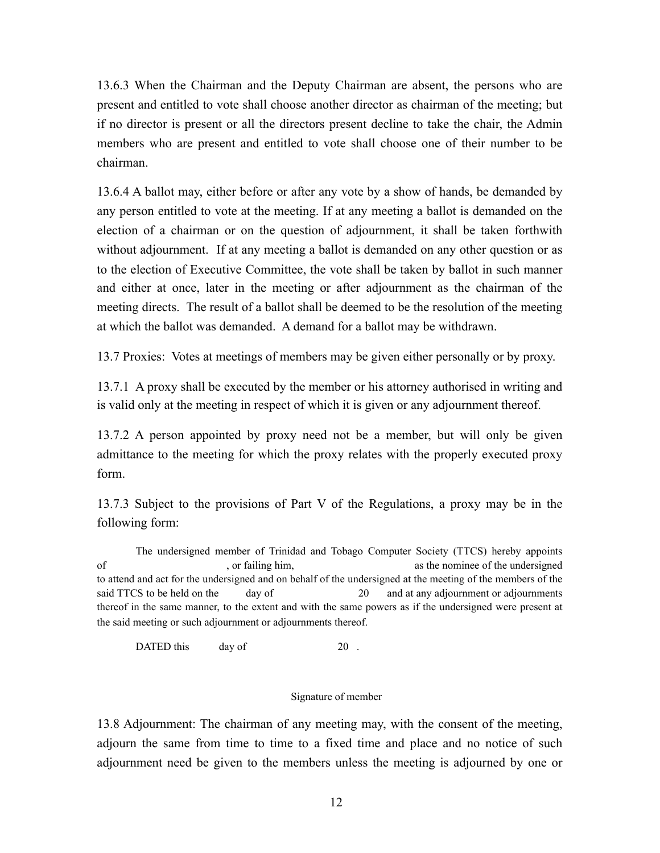13.6.3 When the Chairman and the Deputy Chairman are absent, the persons who are present and entitled to vote shall choose another director as chairman of the meeting; but if no director is present or all the directors present decline to take the chair, the Admin members who are present and entitled to vote shall choose one of their number to be chairman.

13.6.4 A ballot may, either before or after any vote by a show of hands, be demanded by any person entitled to vote at the meeting. If at any meeting a ballot is demanded on the election of a chairman or on the question of adjournment, it shall be taken forthwith without adjournment. If at any meeting a ballot is demanded on any other question or as to the election of Executive Committee, the vote shall be taken by ballot in such manner and either at once, later in the meeting or after adjournment as the chairman of the meeting directs. The result of a ballot shall be deemed to be the resolution of the meeting at which the ballot was demanded. A demand for a ballot may be withdrawn.

13.7 Proxies: Votes at meetings of members may be given either personally or by proxy.

13.7.1 A proxy shall be executed by the member or his attorney authorised in writing and is valid only at the meeting in respect of which it is given or any adjournment thereof.

13.7.2 A person appointed by proxy need not be a member, but will only be given admittance to the meeting for which the proxy relates with the properly executed proxy form.

13.7.3 Subject to the provisions of Part V of the Regulations, a proxy may be in the following form:

The undersigned member of Trinidad and Tobago Computer Society (TTCS) hereby appoints of containing him, as the nominee of the undersigned of the undersigned containing the nomine of the undersigned to attend and act for the undersigned and on behalf of the undersigned at the meeting of the members of the said TTCS to be held on the day of 20 and at any adjournment or adjournments thereof in the same manner, to the extent and with the same powers as if the undersigned were present at the said meeting or such adjournment or adjournments thereof.

DATED this day of 20.

#### Signature of member

13.8 Adjournment: The chairman of any meeting may, with the consent of the meeting, adjourn the same from time to time to a fixed time and place and no notice of such adjournment need be given to the members unless the meeting is adjourned by one or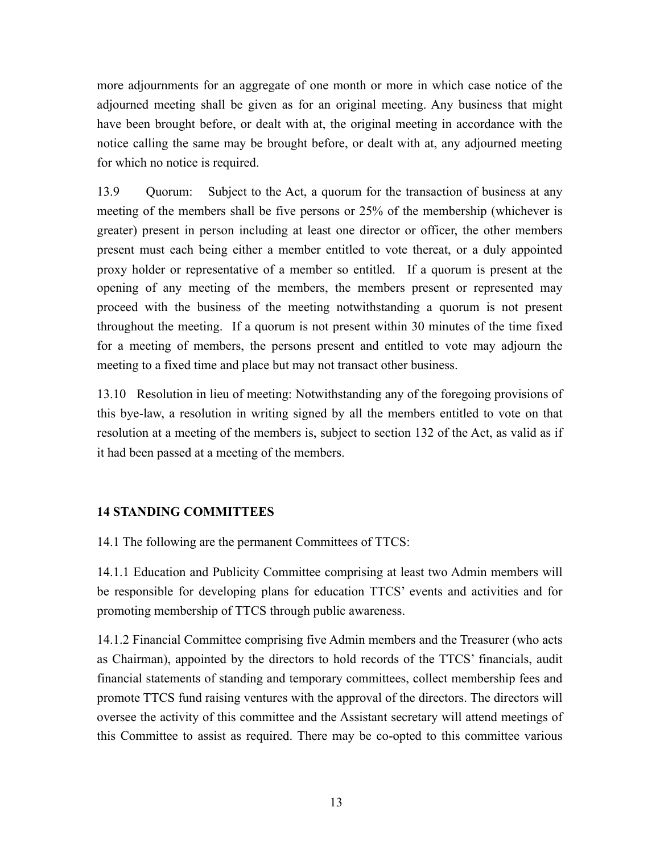more adjournments for an aggregate of one month or more in which case notice of the adjourned meeting shall be given as for an original meeting. Any business that might have been brought before, or dealt with at, the original meeting in accordance with the notice calling the same may be brought before, or dealt with at, any adjourned meeting for which no notice is required.

13.9 Quorum: Subject to the Act, a quorum for the transaction of business at any meeting of the members shall be five persons or 25% of the membership (whichever is greater) present in person including at least one director or officer, the other members present must each being either a member entitled to vote thereat, or a duly appointed proxy holder or representative of a member so entitled. If a quorum is present at the opening of any meeting of the members, the members present or represented may proceed with the business of the meeting notwithstanding a quorum is not present throughout the meeting. If a quorum is not present within 30 minutes of the time fixed for a meeting of members, the persons present and entitled to vote may adjourn the meeting to a fixed time and place but may not transact other business.

13.10 Resolution in lieu of meeting: Notwithstanding any of the foregoing provisions of this bye-law, a resolution in writing signed by all the members entitled to vote on that resolution at a meeting of the members is, subject to section 132 of the Act, as valid as if it had been passed at a meeting of the members.

# **14 STANDING COMMITTEES**

14.1 The following are the permanent Committees of TTCS:

14.1.1 Education and Publicity Committee comprising at least two Admin members will be responsible for developing plans for education TTCS' events and activities and for promoting membership of TTCS through public awareness.

14.1.2 Financial Committee comprising five Admin members and the Treasurer (who acts as Chairman), appointed by the directors to hold records of the TTCS' financials, audit financial statements of standing and temporary committees, collect membership fees and promote TTCS fund raising ventures with the approval of the directors. The directors will oversee the activity of this committee and the Assistant secretary will attend meetings of this Committee to assist as required. There may be co-opted to this committee various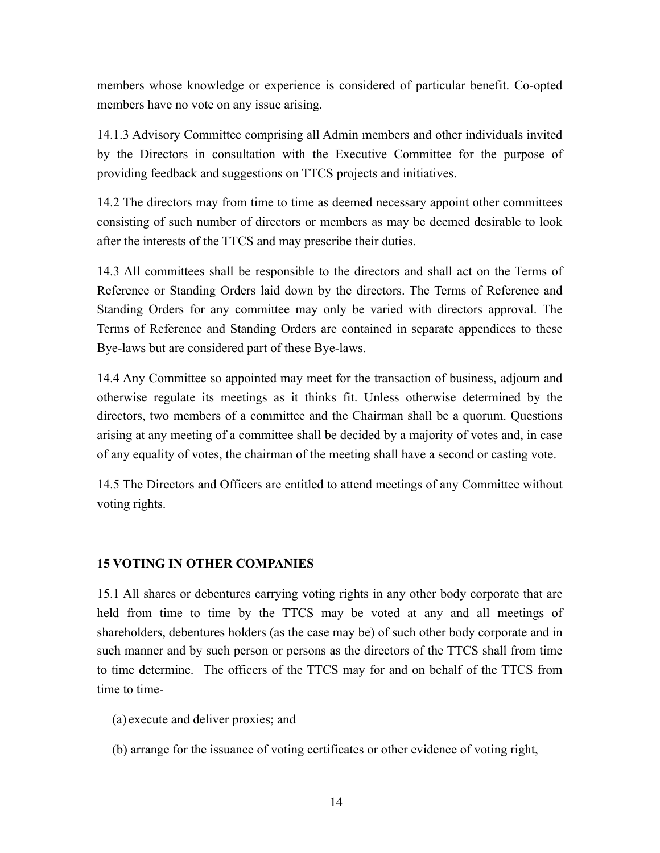members whose knowledge or experience is considered of particular benefit. Co-opted members have no vote on any issue arising.

14.1.3 Advisory Committee comprising all Admin members and other individuals invited by the Directors in consultation with the Executive Committee for the purpose of providing feedback and suggestions on TTCS projects and initiatives.

14.2 The directors may from time to time as deemed necessary appoint other committees consisting of such number of directors or members as may be deemed desirable to look after the interests of the TTCS and may prescribe their duties.

14.3 All committees shall be responsible to the directors and shall act on the Terms of Reference or Standing Orders laid down by the directors. The Terms of Reference and Standing Orders for any committee may only be varied with directors approval. The Terms of Reference and Standing Orders are contained in separate appendices to these Bye-laws but are considered part of these Bye-laws.

14.4 Any Committee so appointed may meet for the transaction of business, adjourn and otherwise regulate its meetings as it thinks fit. Unless otherwise determined by the directors, two members of a committee and the Chairman shall be a quorum. Questions arising at any meeting of a committee shall be decided by a majority of votes and, in case of any equality of votes, the chairman of the meeting shall have a second or casting vote.

14.5 The Directors and Officers are entitled to attend meetings of any Committee without voting rights.

# **15 VOTING IN OTHER COMPANIES**

15.1 All shares or debentures carrying voting rights in any other body corporate that are held from time to time by the TTCS may be voted at any and all meetings of shareholders, debentures holders (as the case may be) of such other body corporate and in such manner and by such person or persons as the directors of the TTCS shall from time to time determine. The officers of the TTCS may for and on behalf of the TTCS from time to time-

- (a) execute and deliver proxies; and
- (b) arrange for the issuance of voting certificates or other evidence of voting right,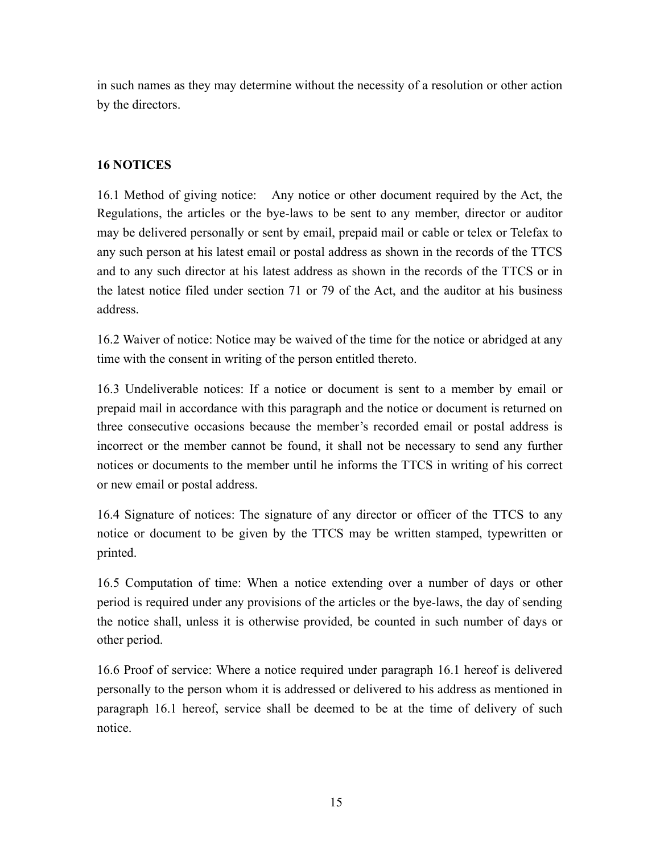in such names as they may determine without the necessity of a resolution or other action by the directors.

# **16 NOTICES**

16.1 Method of giving notice: Any notice or other document required by the Act, the Regulations, the articles or the bye-laws to be sent to any member, director or auditor may be delivered personally or sent by email, prepaid mail or cable or telex or Telefax to any such person at his latest email or postal address as shown in the records of the TTCS and to any such director at his latest address as shown in the records of the TTCS or in the latest notice filed under section 71 or 79 of the Act, and the auditor at his business address.

16.2 Waiver of notice: Notice may be waived of the time for the notice or abridged at any time with the consent in writing of the person entitled thereto.

16.3 Undeliverable notices: If a notice or document is sent to a member by email or prepaid mail in accordance with this paragraph and the notice or document is returned on three consecutive occasions because the member's recorded email or postal address is incorrect or the member cannot be found, it shall not be necessary to send any further notices or documents to the member until he informs the TTCS in writing of his correct or new email or postal address.

16.4 Signature of notices: The signature of any director or officer of the TTCS to any notice or document to be given by the TTCS may be written stamped, typewritten or printed.

16.5 Computation of time: When a notice extending over a number of days or other period is required under any provisions of the articles or the bye-laws, the day of sending the notice shall, unless it is otherwise provided, be counted in such number of days or other period.

16.6 Proof of service: Where a notice required under paragraph 16.1 hereof is delivered personally to the person whom it is addressed or delivered to his address as mentioned in paragraph 16.1 hereof, service shall be deemed to be at the time of delivery of such notice.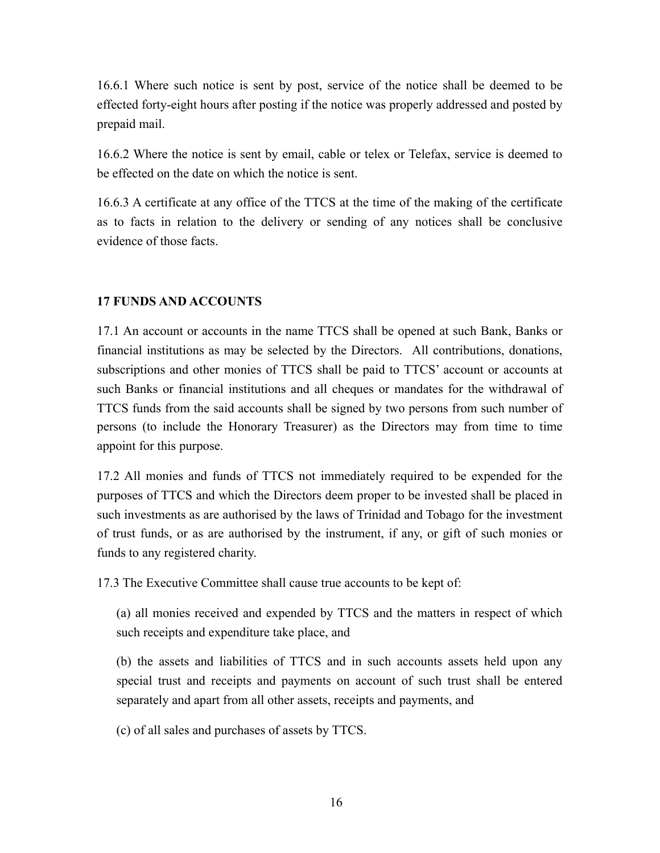16.6.1 Where such notice is sent by post, service of the notice shall be deemed to be effected forty-eight hours after posting if the notice was properly addressed and posted by prepaid mail.

16.6.2 Where the notice is sent by email, cable or telex or Telefax, service is deemed to be effected on the date on which the notice is sent.

16.6.3 A certificate at any office of the TTCS at the time of the making of the certificate as to facts in relation to the delivery or sending of any notices shall be conclusive evidence of those facts.

## **17 FUNDS AND ACCOUNTS**

17.1 An account or accounts in the name TTCS shall be opened at such Bank, Banks or financial institutions as may be selected by the Directors. All contributions, donations, subscriptions and other monies of TTCS shall be paid to TTCS' account or accounts at such Banks or financial institutions and all cheques or mandates for the withdrawal of TTCS funds from the said accounts shall be signed by two persons from such number of persons (to include the Honorary Treasurer) as the Directors may from time to time appoint for this purpose.

17.2 All monies and funds of TTCS not immediately required to be expended for the purposes of TTCS and which the Directors deem proper to be invested shall be placed in such investments as are authorised by the laws of Trinidad and Tobago for the investment of trust funds, or as are authorised by the instrument, if any, or gift of such monies or funds to any registered charity.

17.3 The Executive Committee shall cause true accounts to be kept of:

(a) all monies received and expended by TTCS and the matters in respect of which such receipts and expenditure take place, and

(b) the assets and liabilities of TTCS and in such accounts assets held upon any special trust and receipts and payments on account of such trust shall be entered separately and apart from all other assets, receipts and payments, and

(c) of all sales and purchases of assets by TTCS.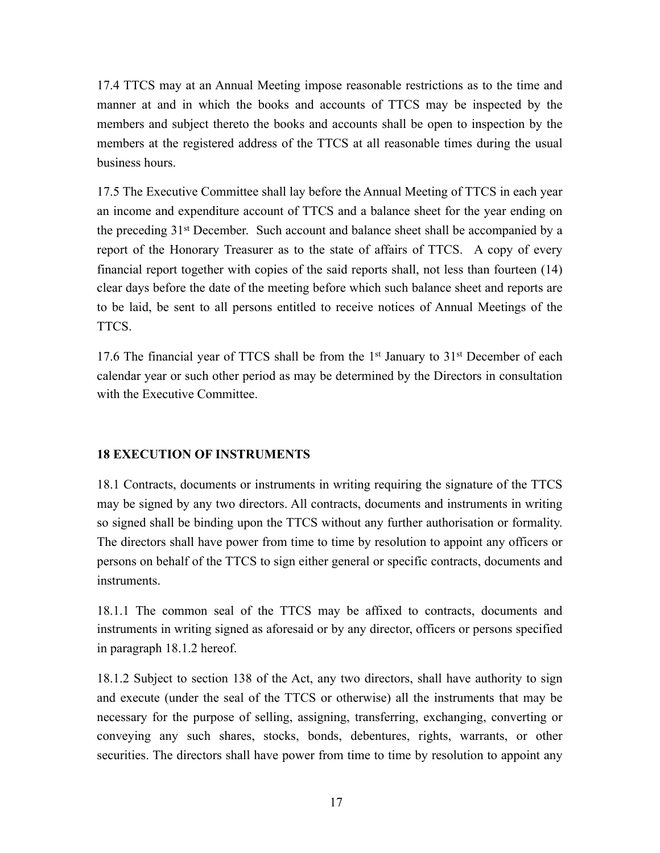17.4 TTCS may at an Annual Meeting impose reasonable restrictions as to the time and manner at and in which the books and accounts of TTCS may be inspected by the members and subject thereto the books and accounts shall be open to inspection by the members at the registered address of the TTCS at all reasonable times during the usual business hours.

17.5 The Executive Committee shall lay before the Annual Meeting of TTCS in each year an income and expenditure account of TTCS and a balance sheet for the year ending on the preceding 31st December. Such account and balance sheet shall be accompanied by a report of the Honorary Treasurer as to the state of affairs of TTCS. A copy of every financial report together with copies of the said reports shall, not less than fourteen (14) clear days before the date of the meeting before which such balance sheet and reports are to be laid, be sent to all persons entitled to receive notices of Annual Meetings of the TTCS.

17.6 The financial year of TTCS shall be from the 1<sup>st</sup> January to 31<sup>st</sup> December of each calendar year or such other period as may be determined by the Directors in consultation with the Executive Committee.

# **18 EXECUTION OF INSTRUMENTS**

18.1 Contracts, documents or instruments in writing requiring the signature of the TTCS may be signed by any two directors. All contracts, documents and instruments in writing so signed shall be binding upon the TTCS without any further authorisation or formality. The directors shall have power from time to time by resolution to appoint any officers or persons on behalf of the TTCS to sign either general or specific contracts, documents and instruments.

18.1.1 The common seal of the TTCS may be affixed to contracts, documents and instruments in writing signed as aforesaid or by any director, officers or persons specified in paragraph 18.1.2 hereof.

18.1.2 Subject to section 138 of the Act, any two directors, shall have authority to sign and execute (under the seal of the TTCS or otherwise) all the instruments that may be necessary for the purpose of selling, assigning, transferring, exchanging, converting or conveying any such shares, stocks, bonds, debentures, rights, warrants, or other securities. The directors shall have power from time to time by resolution to appoint any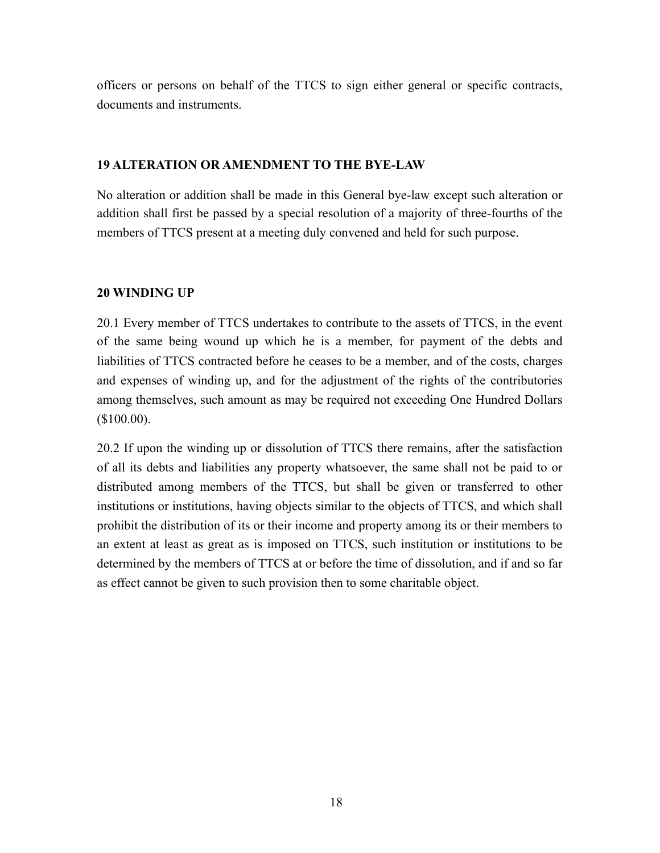officers or persons on behalf of the TTCS to sign either general or specific contracts, documents and instruments.

## **19 ALTERATION OR AMENDMENT TO THE BYE-LAW**

No alteration or addition shall be made in this General bye-law except such alteration or addition shall first be passed by a special resolution of a majority of three-fourths of the members of TTCS present at a meeting duly convened and held for such purpose.

## **20 WINDING UP**

20.1 Every member of TTCS undertakes to contribute to the assets of TTCS, in the event of the same being wound up which he is a member, for payment of the debts and liabilities of TTCS contracted before he ceases to be a member, and of the costs, charges and expenses of winding up, and for the adjustment of the rights of the contributories among themselves, such amount as may be required not exceeding One Hundred Dollars (\$100.00).

20.2 If upon the winding up or dissolution of TTCS there remains, after the satisfaction of all its debts and liabilities any property whatsoever, the same shall not be paid to or distributed among members of the TTCS, but shall be given or transferred to other institutions or institutions, having objects similar to the objects of TTCS, and which shall prohibit the distribution of its or their income and property among its or their members to an extent at least as great as is imposed on TTCS, such institution or institutions to be determined by the members of TTCS at or before the time of dissolution, and if and so far as effect cannot be given to such provision then to some charitable object.